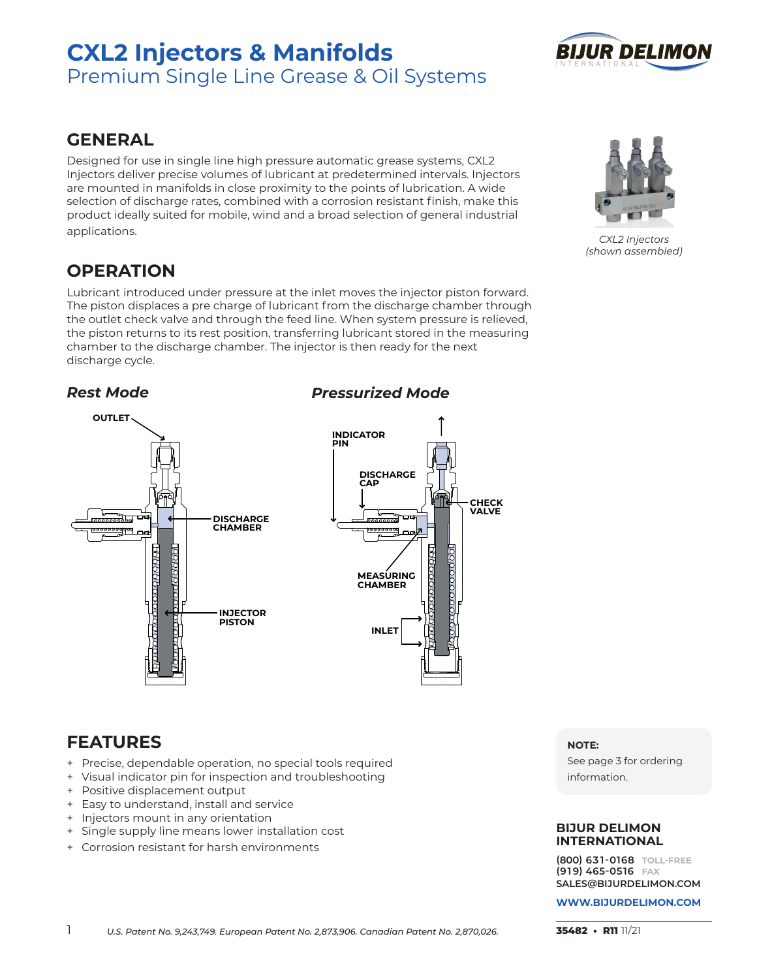# **CXL2 Injectors & Manifolds** Premium Single Line Grease & Oil Systems



# **GENERAL**

Designed for use in single line high pressure automatic grease systems, CXL2 Injectors deliver precise volumes of lubricant at predetermined intervals. Injectors are mounted in manifolds in close proximity to the points of lubrication. A wide selection of discharge rates, combined with a corrosion resistant finish, make this product ideally suited for mobile, wind and a broad selection of general industrial applications.

# **OPERATION**

Lubricant introduced under pressure at the inlet moves the injector piston forward. The piston displaces a pre charge of lubricant from the discharge chamber through the outlet check valve and through the feed line. When system pressure is relieved, the piston returns to its rest position, transferring lubricant stored in the measuring chamber to the discharge chamber. The injector is then ready for the next discharge cycle.

### *Rest Mode*



### **INDICATOR INDICATOR PIN PIN DISCHARGE DISCHARGE CAP C**

**CHECK CHECK VALVE VALVE** 

**RPA** 

**INLET INLET**

**MEASURING MEASURING CHAMBER CHAMBER**

e<br>Raaaaa

100000000

*Pressurized Mode*

# **FEATURES**

- + Precise, dependable operation, no special tools required
- + Visual indicator pin for inspection and troubleshooting
- + Positive displacement output
- + Easy to understand, install and service
- + Injectors mount in any orientation
- + Single supply line means lower installation cost
- + Corrosion resistant for harsh environments

#### **NOTE:**

See page 3 for ordering information.

### **BIJUR DELIMON INTERNATIONAL**

**(800) 63 1-0168 TOLL-FREE (91 9) 465-0516 FAX SALES@BIJURDELIMON.COM**



*CXL2 Injectors (shown assembled)*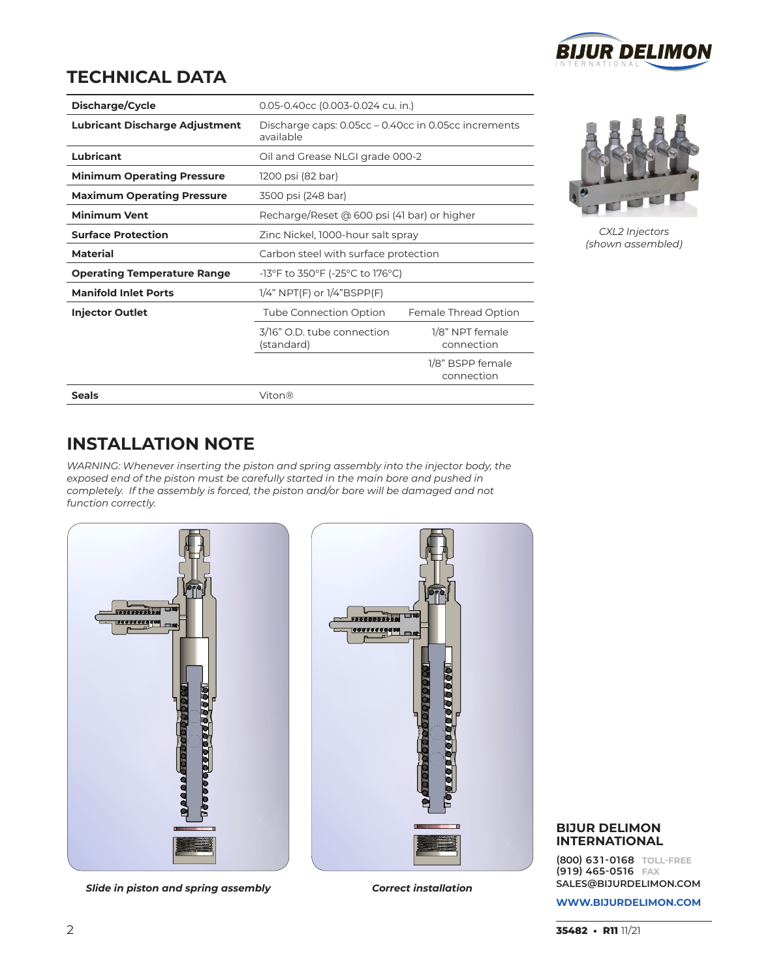

# **TECHNICAL DATA**

| Discharge/Cycle                       | 0.05-0.40cc (0.003-0.024 cu. in.)                                 |                                |  |
|---------------------------------------|-------------------------------------------------------------------|--------------------------------|--|
| <b>Lubricant Discharge Adjustment</b> | Discharge caps: 0.05cc – 0.40cc in 0.05cc increments<br>available |                                |  |
| <b>Lubricant</b>                      | Oil and Grease NLGI grade 000-2                                   |                                |  |
| <b>Minimum Operating Pressure</b>     | 1200 psi (82 bar)                                                 |                                |  |
| <b>Maximum Operating Pressure</b>     | 3500 psi (248 bar)                                                |                                |  |
| <b>Minimum Vent</b>                   | Recharge/Reset @ 600 psi (41 bar) or higher                       |                                |  |
| <b>Surface Protection</b>             | Zinc Nickel, 1000-hour salt spray                                 |                                |  |
| <b>Material</b>                       | Carbon steel with surface protection                              |                                |  |
| <b>Operating Temperature Range</b>    | -13°F to 350°F (-25°C to 176°C)                                   |                                |  |
| <b>Manifold Inlet Ports</b>           | $1/4$ " NPT(F) or $1/4$ "BSPP(F)                                  |                                |  |
| <b>Injector Outlet</b>                | Tube Connection Option                                            | Female Thread Option           |  |
|                                       | 3/16" O.D. tube connection<br>(standard)                          | 1/8" NPT female<br>connection  |  |
|                                       |                                                                   | 1/8" BSPP female<br>connection |  |
| <b>Seals</b>                          | Viton®                                                            |                                |  |



*CXL2 Injectors (shown assembled)*

# **INSTALLATION NOTE**

*WARNING: Whenever inserting the piston and spring assembly into the injector body, the exposed end of the piston must be carefully started in the main bore and pushed in completely. If the assembly is forced, the piston and/or bore will be damaged and not function correctly.*



*Slide in piston and spring assembly Correct installation*



### **BIJUR DELIMON INTERNATIONAL**

**(800) 63 1-0168 TOLL-FREE (91 9) 465-0516 FAX SALES@BIJURDELIMON.COM**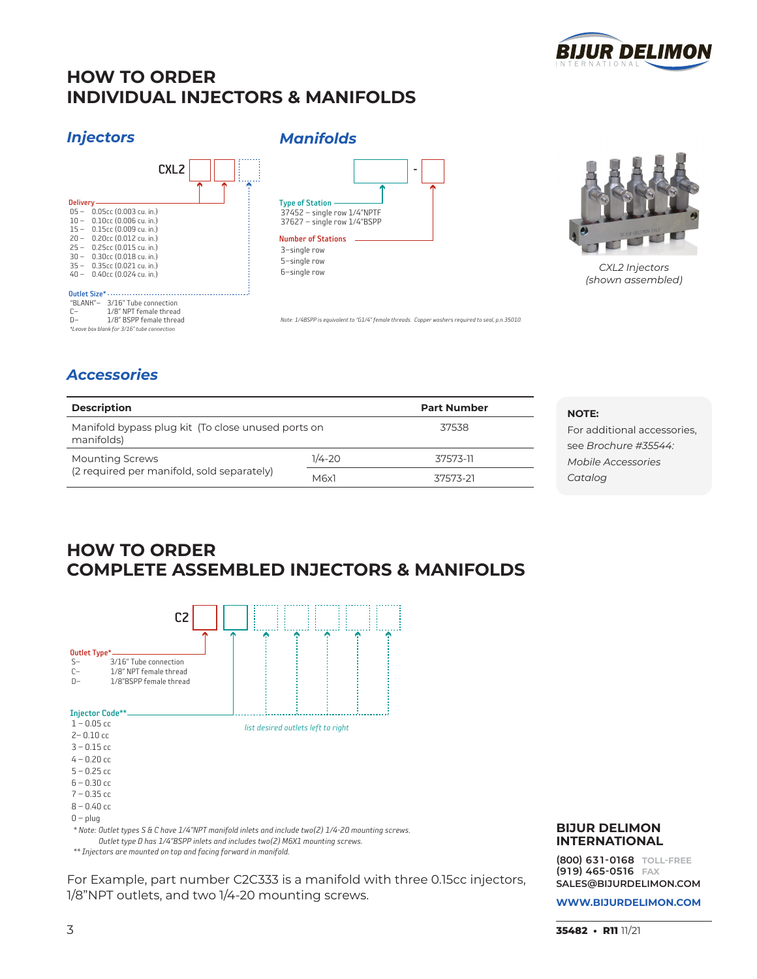

# **HOW TO ORDER INDIVIDUAL INJECTORS & MANIFOLDS**

*Manifolds*

### *Injectors*





*CXL2 Injectors (shown assembled)*

### *Accessories*

*\*Leave box blank for 3/16" tube connection*

| <b>Description</b><br>Manifold bypass plug kit (To close unused ports on |            | <b>Part Number</b> |  |
|--------------------------------------------------------------------------|------------|--------------------|--|
|                                                                          |            | 37538              |  |
| manifolds)<br><b>Mounting Screws</b>                                     | $1/4 - 20$ | 37573-11           |  |
| (2 required per manifold, sold separately)                               | M6x1       | 37573-21           |  |

## **HOW TO ORDER COMPLETE ASSEMBLED INJECTORS & MANIFOLDS**



For Example, part number C2C333 is a manifold with three 0.15cc injectors, 1/8"NPT outlets, and two 1/4-20 mounting screws.

#### **BIJUR DELIMON INTERNATIONAL**

**(800) 63 1-0168 TOLL-FREE (91 9) 465-0516 FAX SALES@BIJURDELIMON.COM**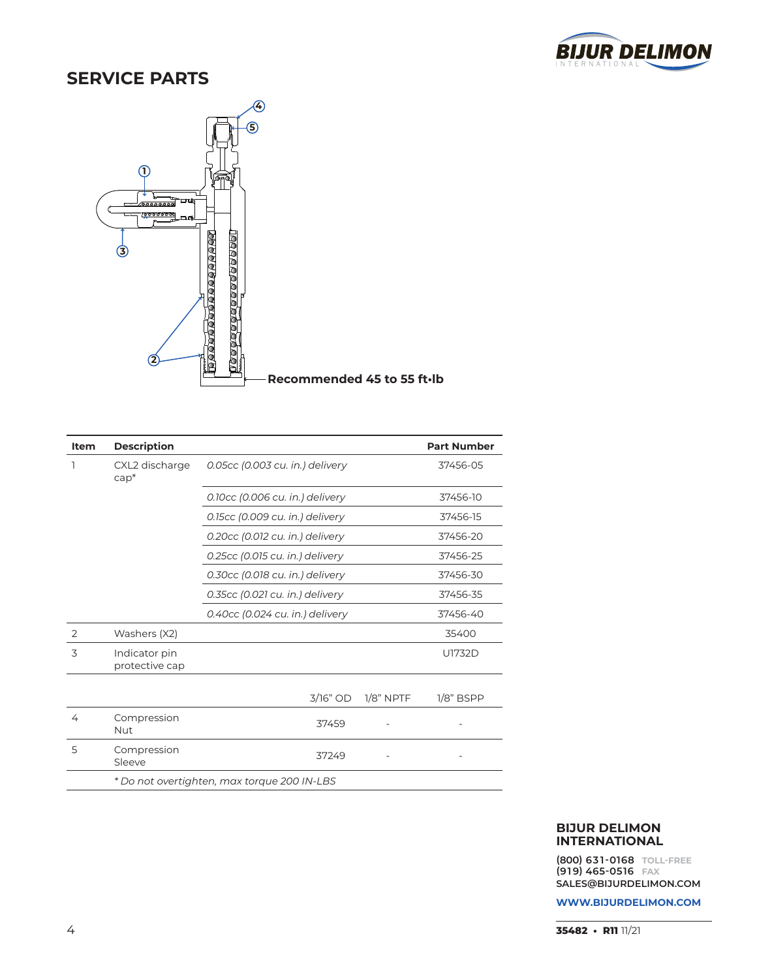

# **SERVICE PARTS**



| Item | <b>Description</b>              |                                             |          |             | <b>Part Number</b> |
|------|---------------------------------|---------------------------------------------|----------|-------------|--------------------|
| 1    | CXL2 discharge<br>$cap^*$       | 0.05cc (0.003 cu. in.) delivery             |          |             | 37456-05           |
|      |                                 | 0.10cc (0.006 cu. in.) delivery             |          |             | 37456-10           |
|      |                                 | 0.15cc (0.009 cu. in.) delivery             |          |             | 37456-15           |
|      |                                 | 0.20cc (0.012 cu. in.) delivery             |          |             | 37456-20           |
|      |                                 | 0.25cc (0.015 cu. in.) delivery             |          |             | 37456-25           |
|      |                                 | 0.30cc (0.018 cu. in.) delivery             |          |             | 37456-30           |
|      |                                 | 0.35cc (0.021 cu. in.) delivery             |          |             | 37456-35           |
|      |                                 | 0.40cc (0.024 cu. in.) delivery             |          |             | 37456-40           |
| 2    | Washers (X2)                    |                                             |          |             | 35400              |
| 3    | Indicator pin<br>protective cap |                                             |          |             | U1732D             |
|      |                                 |                                             | 3/16" OD | $1/8"$ NPTF | $1/8"$ BSPP        |
| 4    | Compression<br>Nut              |                                             | 37459    |             |                    |
| 5    | Compression<br>Sleeve           |                                             | 37249    |             |                    |
|      |                                 | * Do not overtighten, max torque 200 IN-LBS |          |             |                    |

#### **BIJUR DELIMON INTERNATIONAL**

**(800) 63 1-0168 TOLL-FREE (91 9) 465-0516 FAX SALES@BIJURDELIMON.COM**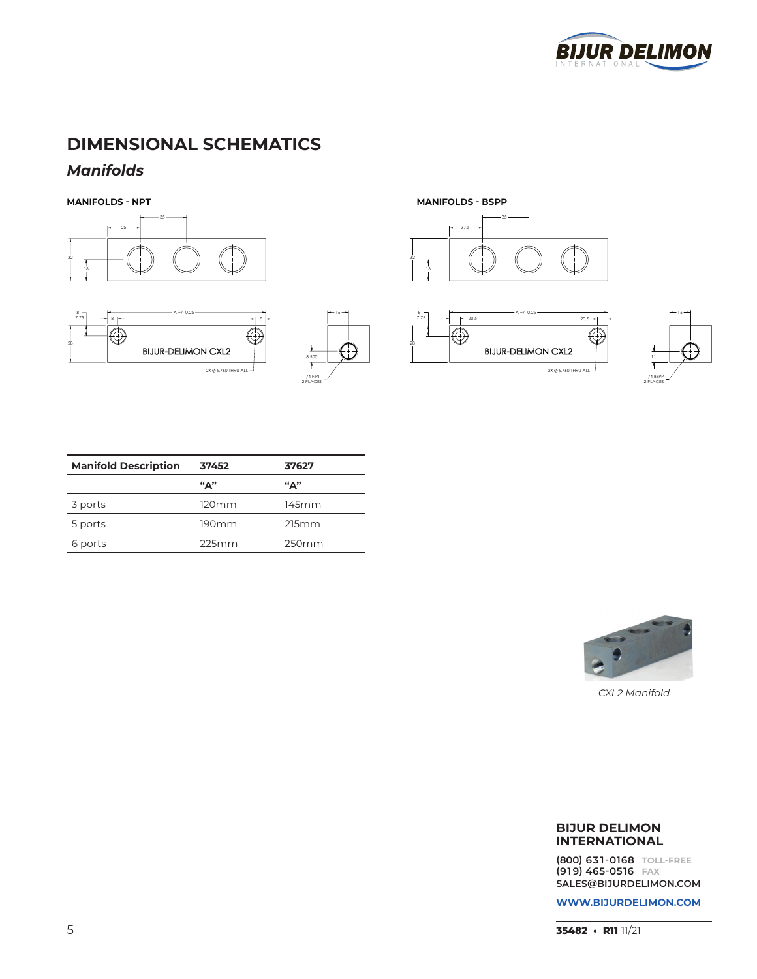

# **DIMENSIONAL SCHEMATICS**

### *Manifolds*

**MANIFOLDS - NPT MANIFOLDS - BSPP**













| <b>Manifold Description</b> | 37452               | 37627       |
|-----------------------------|---------------------|-------------|
|                             | $^{\mu}$ $\Delta$ " | $``\Delta"$ |
| 3 ports                     | $120 \mathrm{mm}$   | 145mm       |
| 5 ports                     | 190mm               | 215mm       |
| 6 ports                     | 225mm               | 250mm       |



*CXL2 Manifold*

#### **BIJUR DELIMON INTERNATIONAL**

**(800) 63 1-0168 TOLL-FREE (91 9) 465-0516 FAX SALES@BIJURDELIMON.COM**

**WWW.BIJURDELIMON.COM**

**35482 • R11** 11/21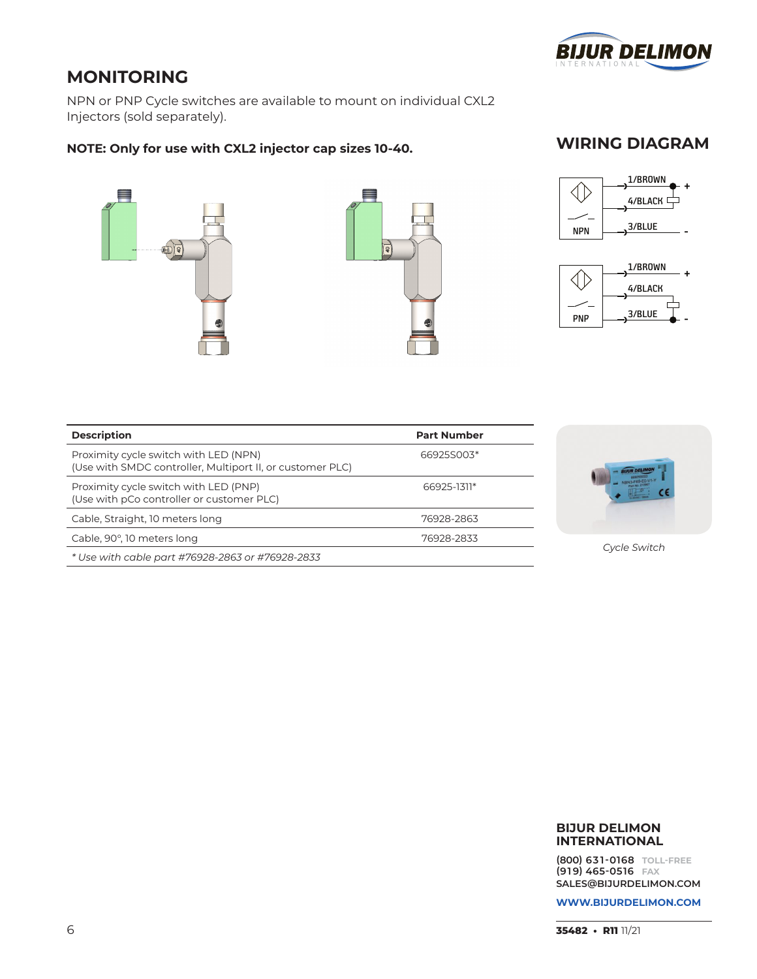

# **MONITORING**

NPN or PNP Cycle switches are available to mount on individual CXL2 Injectors (sold separately).

### **NOTE: Only for use with CXL2 injector cap sizes 10-40.**





### **WIRING DIAGRAM**



 $PNP$   $\longrightarrow$   $\frac{3/BLE}{2}$  -

| <b>Description</b>                                                                                 | <b>Part Number</b> |
|----------------------------------------------------------------------------------------------------|--------------------|
| Proximity cycle switch with LED (NPN)<br>(Use with SMDC controller, Multiport II, or customer PLC) | 66925S003*         |
| Proximity cycle switch with LED (PNP)<br>(Use with pCo controller or customer PLC)                 | 66925-1311*        |
| Cable, Straight, 10 meters long                                                                    | 76928-2863         |
| Cable, 90°, 10 meters long                                                                         | 76928-2833         |
| * Use with cable part #76928-2863 or #76928-2833                                                   |                    |



*Cycle Switch*

#### **BIJUR DELIMON INTERNATIONAL**

**(800) 63 1-0168 TOLL-FREE (91 9) 465-0516 FAX SALES@BIJURDELIMON.COM**